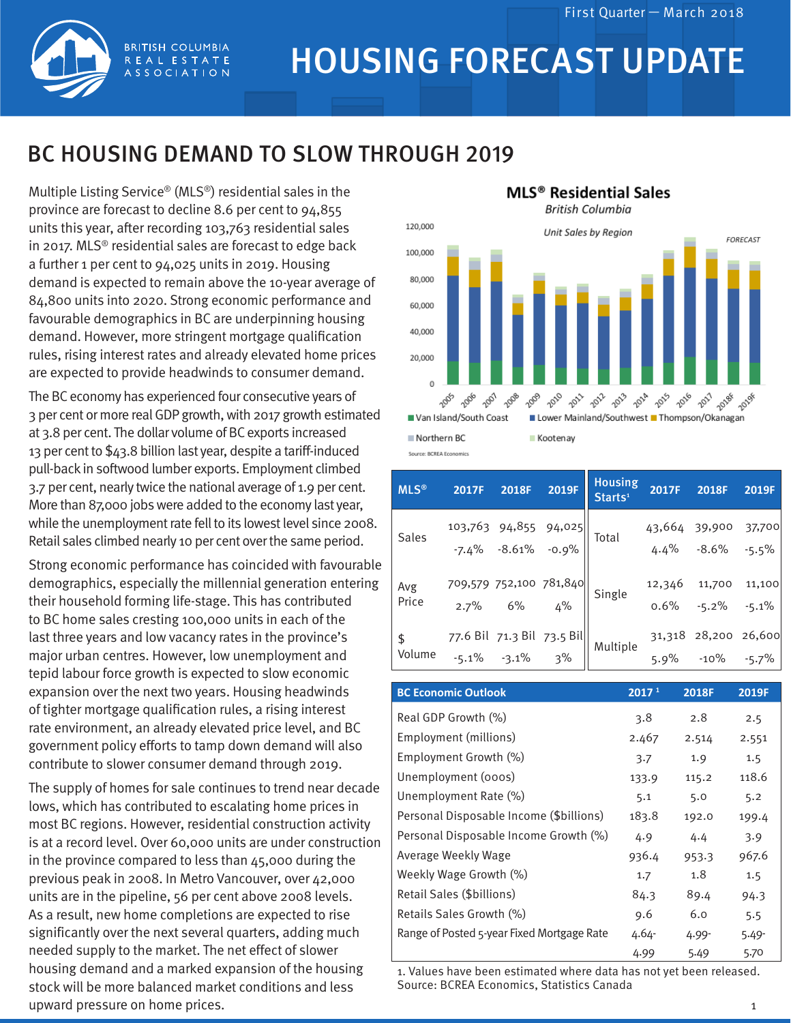

## HOUSING FORECAST UPDATE

## BC HOUSING DEMAND TO SLOW THROUGH 2019

Multiple Listing Service® (MLS®) residential sales in the province are forecast to decline 8.6 per cent to 94,855 units this year, after recording 103,763 residential sales in 2017. MLS® residential sales are forecast to edge back a further 1 per cent to 94,025 units in 2019. Housing demand is expected to remain above the 10-year average of 84,800 units into 2020. Strong economic performance and favourable demographics in BC are underpinning housing demand. However, more stringent mortgage qualification rules, rising interest rates and already elevated home prices are expected to provide headwinds to consumer demand.

**BRITISH COLUMBIA** REAL ESTATE **ASSOCIATION** 

The BC economy has experienced four consecutive years of 3 per cent or more realGDP growth, with 2017 growth estimated at 3.8 per cent. The dollar volume of BC exports increased 13 per cent to \$43.8 billion last year, despite a tariff-induced pull-back in softwood lumber exports. Employment climbed 3.7 per cent, nearly twice the national average of 1.9 per cent. More than 87,000 jobs were added to the economy last year, while the unemployment rate fell to its lowest level since 2008. Retail sales climbed nearly 10 per cent over the same period.

Strong economic performance has coincided with favourable demographics, especially the millennial generation entering their household forming life-stage. This has contributed to BC home sales cresting 100,000 units in each of the last three years and low vacancy rates in the province's major urban centres. However, low unemployment and tepid labour force growth is expected to slow economic expansion over the next two years. Housing headwinds of tighter mortgage qualification rules, a rising interest rate environment, an already elevated price level, and BC government policy efforts to tamp down demand will also contribute to slower consumer demand through 2019.

The supply of homes for sale continues to trend near decade lows, which has contributed to escalating home prices in most BC regions. However, residential construction activity is at a record level. Over 60,000 units are under construction in the province compared to less than 45,000 during the previous peak in 2008. In Metro Vancouver, over 42,000 units are in the pipeline, 56 per cent above 2008 levels. As a result, new home completions are expected to rise significantly over the next several quarters, adding much needed supply to the market. The net effect of slower housing demand and a marked expansion of the housing stock will be more balanced market conditions and less upward pressure on home prices.



| <b>MLS®</b>             | 2017F | 2018F 2019F                                 | <b>Housing</b><br>Starts <sup>1</sup>                                 | 2017F                                      | 2018F                                      | 2019F |
|-------------------------|-------|---------------------------------------------|-----------------------------------------------------------------------|--------------------------------------------|--------------------------------------------|-------|
| Sales                   |       | 103,763 94,855 94,025<br>-7.4% -8.61% -0.9% |                                                                       |                                            | $43,664$ 39,900 37,700<br>4.4% -8.6% -5.5% |       |
| Avg<br>Price            |       |                                             | 709,579 752,100 781,840<br>2.7% 6% 4% Single                          | $12,346$ 11,700 11,100<br>0.6% -5.2% -5.1% |                                            |       |
| $\mathsf{\$}$<br>Volume |       |                                             | 77.6 Bil 71.3 Bil 73.5 Bil<br>-5.1% -3.1% 3% Multiple 5.9% -10% -5.7% |                                            |                                            |       |

| <b>BC Economic Outlook</b>                 | 2017 <sup>1</sup> | 2018F    | 2019F |
|--------------------------------------------|-------------------|----------|-------|
| Real GDP Growth (%)                        | 3.8               | 2.8      | 2.5   |
| Employment (millions)                      | 2.467             | 2.514    | 2.551 |
| Employment Growth (%)                      | 3.7               | 1.9      | 1.5   |
| Unemployment (000s)                        | 133.9             | 115.2    | 118.6 |
| Unemployment Rate (%)                      | 5.1               | 5.0      | 5.2   |
| Personal Disposable Income (\$billions)    | 183.8             | 192.0    | 199.4 |
| Personal Disposable Income Growth (%)      | 4.9               | 4.4      | 3.9   |
| Average Weekly Wage                        | 936.4             | 953.3    | 967.6 |
| Weekly Wage Growth (%)                     | 1.7               | 1.8      | 1.5   |
| Retail Sales (\$billions)                  | 84.3              | 89.4     | 94.3  |
| Retails Sales Growth (%)                   | 9.6               | 6.0      | 5.5   |
| Range of Posted 5-year Fixed Mortgage Rate | 4.64-             | $4.99 -$ | 5.49- |
|                                            | 4.99              | 5.49     | 5.70  |

1. Values have been estimated where data has not yet been released. Source: BCREA Economics, Statistics Canada